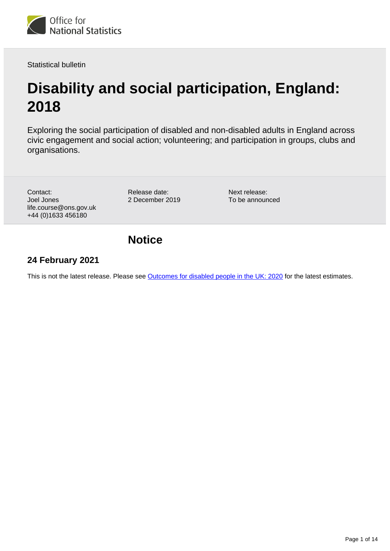

Statistical bulletin

# **Disability and social participation, England: 2018**

Exploring the social participation of disabled and non-disabled adults in England across civic engagement and social action; volunteering; and participation in groups, clubs and organisations.

Contact: Joel Jones life.course@ons.gov.uk +44 (0)1633 456180

Release date: 2 December 2019

Next release: To be announced

## **Notice**

## **24 February 2021**

This is not the latest release. Please see [Outcomes for disabled people in the UK: 2020](https://www.ons.gov.uk/peoplepopulationandcommunity/healthandsocialcare/disability/articles/outcomesfordisabledpeopleintheuk/2020)</u> for the latest estimates.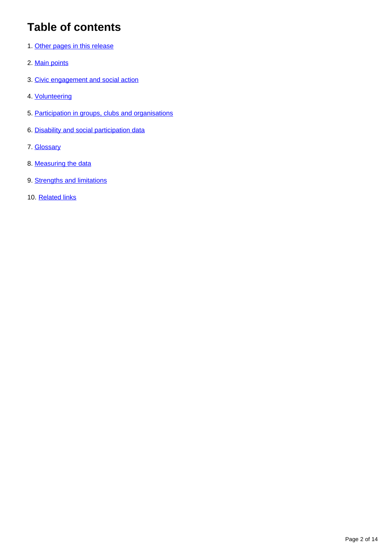## **Table of contents**

- 1. [Other pages in this release](#page-2-0)
- 2. [Main points](#page-3-0)
- 3. [Civic engagement and social action](#page-3-1)
- 4. [Volunteering](#page-5-0)
- 5. [Participation in groups, clubs and organisations](#page-7-0)
- 6. [Disability and social participation data](#page-10-0)
- 7. [Glossary](#page-10-1)
- 8. [Measuring the data](#page-12-0)
- 9. [Strengths and limitations](#page-12-1)
- 10. [Related links](#page-13-0)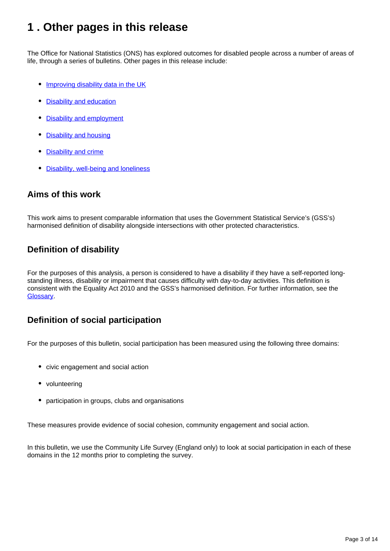## <span id="page-2-0"></span>**1 . Other pages in this release**

The Office for National Statistics (ONS) has explored outcomes for disabled people across a number of areas of life, through a series of bulletins. Other pages in this release include:

- [Improving disability data in the UK](https://www.ons.gov.uk/peoplepopulationandcommunity/healthandsocialcare/disability/articles/improvingdisabilitydataintheuk/2019)
- [Disability and education](https://www.ons.gov.uk/peoplepopulationandcommunity/healthandsocialcare/disability/bulletins/disabilityandeducationuk/2019)
- [Disability and employment](https://www.ons.gov.uk/peoplepopulationandcommunity/healthandsocialcare/disability/bulletins/disabilityandemploymentuk/2019)
- [Disability and housing](https://www.ons.gov.uk/peoplepopulationandcommunity/healthandsocialcare/disability/bulletins/disabilityandhousinguk/2019)
- **[Disability and crime](https://www.ons.gov.uk/peoplepopulationandcommunity/healthandsocialcare/disability/bulletins/disabilityandcrimeuk/2019)**
- [Disability, well-being and loneliness](https://www.ons.gov.uk/peoplepopulationandcommunity/healthandsocialcare/disability/bulletins/disabilitywellbeingandlonelinessuk/2019)

### **Aims of this work**

This work aims to present comparable information that uses the Government Statistical Service's (GSS's) harmonised definition of disability alongside intersections with other protected characteristics.

## **Definition of disability**

For the purposes of this analysis, a person is considered to have a disability if they have a self-reported longstanding illness, disability or impairment that causes difficulty with day-to-day activities. This definition is consistent with the Equality Act 2010 and the GSS's harmonised definition. For further information, see the [Glossary.](https://www.ons.gov.uk/peoplepopulationandcommunity/healthandsocialcare/disability/bulletins/disabilityandsocialparticipationengland/2018#glossary)

### **Definition of social participation**

For the purposes of this bulletin, social participation has been measured using the following three domains:

- civic engagement and social action
- volunteering
- participation in groups, clubs and organisations

These measures provide evidence of social cohesion, community engagement and social action.

In this bulletin, we use the Community Life Survey (England only) to look at social participation in each of these domains in the 12 months prior to completing the survey.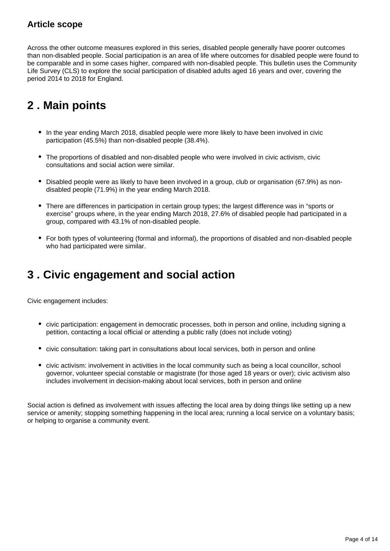## **Article scope**

Across the other outcome measures explored in this series, disabled people generally have poorer outcomes than non-disabled people. Social participation is an area of life where outcomes for disabled people were found to be comparable and in some cases higher, compared with non-disabled people. This bulletin uses the Community Life Survey (CLS) to explore the social participation of disabled adults aged 16 years and over, covering the period 2014 to 2018 for England.

## <span id="page-3-0"></span>**2 . Main points**

- In the year ending March 2018, disabled people were more likely to have been involved in civic participation (45.5%) than non-disabled people (38.4%).
- The proportions of disabled and non-disabled people who were involved in civic activism, civic consultations and social action were similar.
- Disabled people were as likely to have been involved in a group, club or organisation (67.9%) as nondisabled people (71.9%) in the year ending March 2018.
- There are differences in participation in certain group types; the largest difference was in "sports or exercise" groups where, in the year ending March 2018, 27.6% of disabled people had participated in a group, compared with 43.1% of non-disabled people.
- For both types of volunteering (formal and informal), the proportions of disabled and non-disabled people who had participated were similar.

## <span id="page-3-1"></span>**3 . Civic engagement and social action**

Civic engagement includes:

- civic participation: engagement in democratic processes, both in person and online, including signing a petition, contacting a local official or attending a public rally (does not include voting)
- civic consultation: taking part in consultations about local services, both in person and online
- civic activism: involvement in activities in the local community such as being a local councillor, school governor, volunteer special constable or magistrate (for those aged 18 years or over); civic activism also includes involvement in decision-making about local services, both in person and online

Social action is defined as involvement with issues affecting the local area by doing things like setting up a new service or amenity; stopping something happening in the local area; running a local service on a voluntary basis; or helping to organise a community event.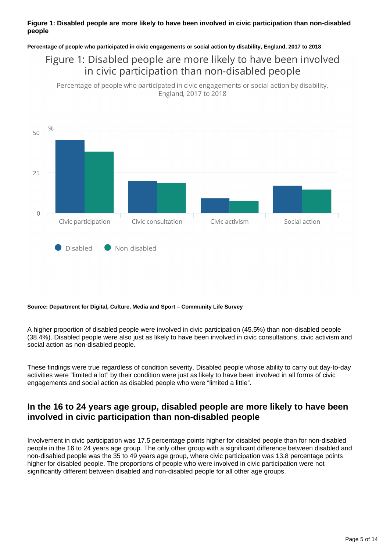#### **Figure 1: Disabled people are more likely to have been involved in civic participation than non-disabled people**

**Percentage of people who participated in civic engagements or social action by disability, England, 2017 to 2018**

## Figure 1: Disabled people are more likely to have been involved in civic participation than non-disabled people

Percentage of people who participated in civic engagements or social action by disability, England, 2017 to 2018



#### **Source: Department for Digital, Culture, Media and Sport – Community Life Survey**

A higher proportion of disabled people were involved in civic participation (45.5%) than non-disabled people (38.4%). Disabled people were also just as likely to have been involved in civic consultations, civic activism and social action as non-disabled people.

These findings were true regardless of condition severity. Disabled people whose ability to carry out day-to-day activities were "limited a lot" by their condition were just as likely to have been involved in all forms of civic engagements and social action as disabled people who were "limited a little".

#### **In the 16 to 24 years age group, disabled people are more likely to have been involved in civic participation than non-disabled people**

Involvement in civic participation was 17.5 percentage points higher for disabled people than for non-disabled people in the 16 to 24 years age group. The only other group with a significant difference between disabled and non-disabled people was the 35 to 49 years age group, where civic participation was 13.8 percentage points higher for disabled people. The proportions of people who were involved in civic participation were not significantly different between disabled and non-disabled people for all other age groups.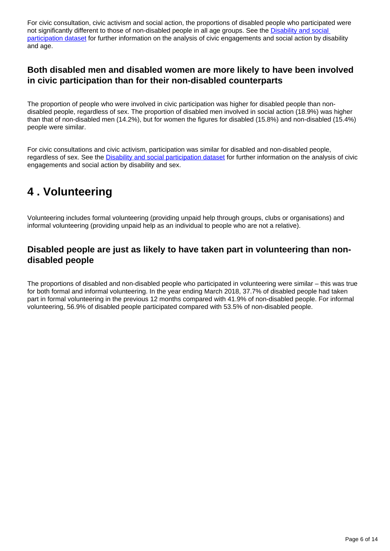For civic consultation, civic activism and social action, the proportions of disabled people who participated were not significantly different to those of non-disabled people in all age groups. See the **Disability and social** [participation dataset](https://www.ons.gov.uk/peoplepopulationandcommunity/healthandsocialcare/disability/datasets/disabilityandsocialparticipation) for further information on the analysis of civic engagements and social action by disability and age.

#### **Both disabled men and disabled women are more likely to have been involved in civic participation than for their non-disabled counterparts**

The proportion of people who were involved in civic participation was higher for disabled people than nondisabled people, regardless of sex. The proportion of disabled men involved in social action (18.9%) was higher than that of non-disabled men (14.2%), but for women the figures for disabled (15.8%) and non-disabled (15.4%) people were similar.

For civic consultations and civic activism, participation was similar for disabled and non-disabled people, regardless of sex. See the [Disability and social participation dataset](https://www.ons.gov.uk/peoplepopulationandcommunity/healthandsocialcare/disability/datasets/disabilityandsocialparticipation) for further information on the analysis of civic engagements and social action by disability and sex.

## <span id="page-5-0"></span>**4 . Volunteering**

Volunteering includes formal volunteering (providing unpaid help through groups, clubs or organisations) and informal volunteering (providing unpaid help as an individual to people who are not a relative).

### **Disabled people are just as likely to have taken part in volunteering than nondisabled people**

The proportions of disabled and non-disabled people who participated in volunteering were similar – this was true for both formal and informal volunteering. In the year ending March 2018, 37.7% of disabled people had taken part in formal volunteering in the previous 12 months compared with 41.9% of non-disabled people. For informal volunteering, 56.9% of disabled people participated compared with 53.5% of non-disabled people.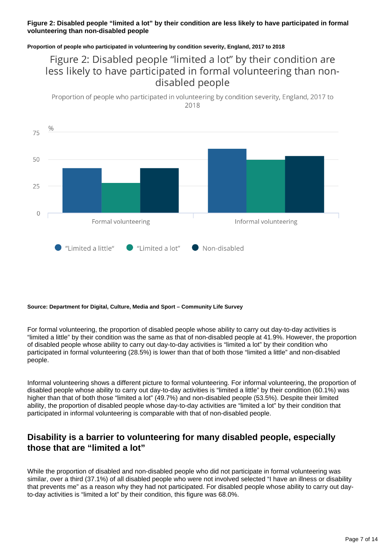#### **Figure 2: Disabled people "limited a lot" by their condition are less likely to have participated in formal volunteering than non-disabled people**

**Proportion of people who participated in volunteering by condition severity, England, 2017 to 2018**

## Figure 2: Disabled people "limited a lot" by their condition are less likely to have participated in formal volunteering than nondisabled people

Proportion of people who participated in volunteering by condition severity, England, 2017 to 2018



#### **Source: Department for Digital, Culture, Media and Sport – Community Life Survey**

For formal volunteering, the proportion of disabled people whose ability to carry out day-to-day activities is "limited a little" by their condition was the same as that of non-disabled people at 41.9%. However, the proportion of disabled people whose ability to carry out day-to-day activities is "limited a lot" by their condition who participated in formal volunteering (28.5%) is lower than that of both those "limited a little" and non-disabled people.

Informal volunteering shows a different picture to formal volunteering. For informal volunteering, the proportion of disabled people whose ability to carry out day-to-day activities is "limited a little" by their condition (60.1%) was higher than that of both those "limited a lot" (49.7%) and non-disabled people (53.5%). Despite their limited ability, the proportion of disabled people whose day-to-day activities are "limited a lot" by their condition that participated in informal volunteering is comparable with that of non-disabled people.

#### **Disability is a barrier to volunteering for many disabled people, especially those that are "limited a lot"**

While the proportion of disabled and non-disabled people who did not participate in formal volunteering was similar, over a third (37.1%) of all disabled people who were not involved selected "I have an illness or disability that prevents me" as a reason why they had not participated. For disabled people whose ability to carry out dayto-day activities is "limited a lot" by their condition, this figure was 68.0%.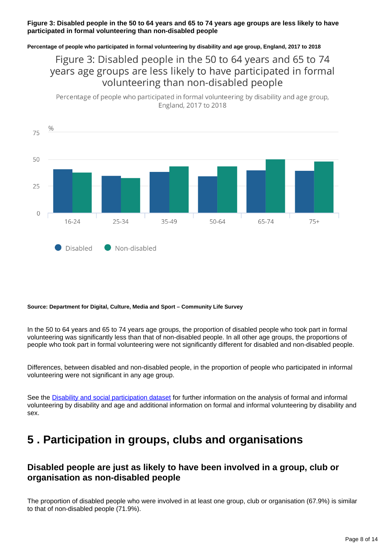#### **Figure 3: Disabled people in the 50 to 64 years and 65 to 74 years age groups are less likely to have participated in formal volunteering than non-disabled people**

**Percentage of people who participated in formal volunteering by disability and age group, England, 2017 to 2018**

Figure 3: Disabled people in the 50 to 64 years and 65 to 74 years age groups are less likely to have participated in formal volunteering than non-disabled people

Percentage of people who participated in formal volunteering by disability and age group, England, 2017 to 2018



#### **Source: Department for Digital, Culture, Media and Sport – Community Life Survey**

In the 50 to 64 years and 65 to 74 years age groups, the proportion of disabled people who took part in formal volunteering was significantly less than that of non-disabled people. In all other age groups, the proportions of people who took part in formal volunteering were not significantly different for disabled and non-disabled people.

Differences, between disabled and non-disabled people, in the proportion of people who participated in informal volunteering were not significant in any age group.

See the [Disability and social participation dataset](https://www.ons.gov.uk/peoplepopulationandcommunity/healthandsocialcare/disability/datasets/disabilityandsocialparticipation) for further information on the analysis of formal and informal volunteering by disability and age and additional information on formal and informal volunteering by disability and sex.

## <span id="page-7-0"></span>**5 . Participation in groups, clubs and organisations**

### **Disabled people are just as likely to have been involved in a group, club or organisation as non-disabled people**

The proportion of disabled people who were involved in at least one group, club or organisation (67.9%) is similar to that of non-disabled people (71.9%).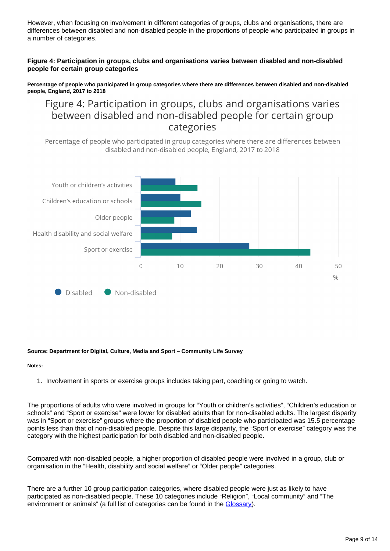However, when focusing on involvement in different categories of groups, clubs and organisations, there are differences between disabled and non-disabled people in the proportions of people who participated in groups in a number of categories.

#### **Figure 4: Participation in groups, clubs and organisations varies between disabled and non-disabled people for certain group categories**

**Percentage of people who participated in group categories where there are differences between disabled and non-disabled people, England, 2017 to 2018**

## Figure 4: Participation in groups, clubs and organisations varies between disabled and non-disabled people for certain group categories

Percentage of people who participated in group categories where there are differences between disabled and non-disabled people, England, 2017 to 2018



#### **Source: Department for Digital, Culture, Media and Sport – Community Life Survey**

#### **Notes:**

1. Involvement in sports or exercise groups includes taking part, coaching or going to watch.

The proportions of adults who were involved in groups for "Youth or children's activities", "Children's education or schools" and "Sport or exercise" were lower for disabled adults than for non-disabled adults. The largest disparity was in "Sport or exercise" groups where the proportion of disabled people who participated was 15.5 percentage points less than that of non-disabled people. Despite this large disparity, the "Sport or exercise" category was the category with the highest participation for both disabled and non-disabled people.

Compared with non-disabled people, a higher proportion of disabled people were involved in a group, club or organisation in the "Health, disability and social welfare" or "Older people" categories.

There are a further 10 group participation categories, where disabled people were just as likely to have participated as non-disabled people. These 10 categories include "Religion", "Local community" and "The environment or animals" (a full list of categories can be found in the [Glossary](https://www.ons.gov.uk/peoplepopulationandcommunity/healthandsocialcare/disability/bulletins/disabilityandsocialparticipationengland/2018#glossary)).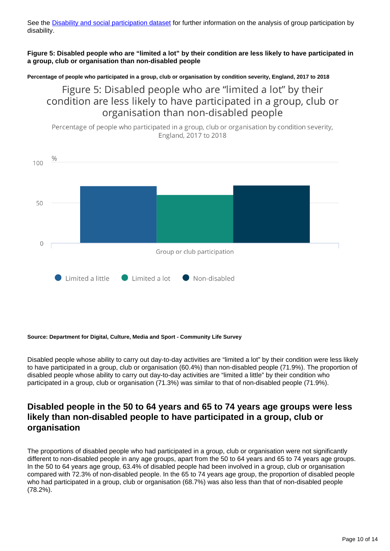See the [Disability and social participation dataset](https://www.ons.gov.uk/peoplepopulationandcommunity/healthandsocialcare/disability/datasets/disabilityandsocialparticipation) for further information on the analysis of group participation by disability.

**Figure 5: Disabled people who are "limited a lot" by their condition are less likely to have participated in a group, club or organisation than non-disabled people**

**Percentage of people who participated in a group, club or organisation by condition severity, England, 2017 to 2018**

Figure 5: Disabled people who are "limited a lot" by their condition are less likely to have participated in a group, club or organisation than non-disabled people

Percentage of people who participated in a group, club or organisation by condition severity, England, 2017 to 2018



#### **Source: Department for Digital, Culture, Media and Sport - Community Life Survey**

Disabled people whose ability to carry out day-to-day activities are "limited a lot" by their condition were less likely to have participated in a group, club or organisation (60.4%) than non-disabled people (71.9%). The proportion of disabled people whose ability to carry out day-to-day activities are "limited a little" by their condition who participated in a group, club or organisation (71.3%) was similar to that of non-disabled people (71.9%).

## **Disabled people in the 50 to 64 years and 65 to 74 years age groups were less likely than non-disabled people to have participated in a group, club or organisation**

The proportions of disabled people who had participated in a group, club or organisation were not significantly different to non-disabled people in any age groups, apart from the 50 to 64 years and 65 to 74 years age groups. In the 50 to 64 years age group, 63.4% of disabled people had been involved in a group, club or organisation compared with 72.3% of non-disabled people. In the 65 to 74 years age group, the proportion of disabled people who had participated in a group, club or organisation (68.7%) was also less than that of non-disabled people (78.2%).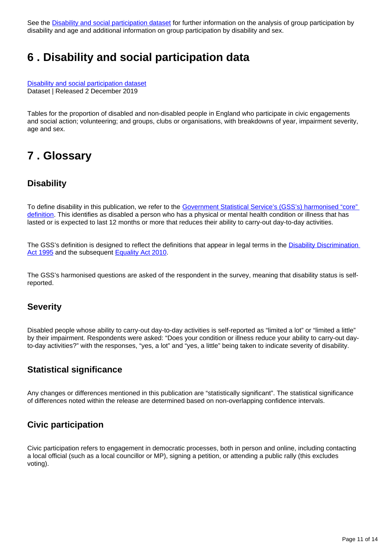See the [Disability and social participation dataset](https://www.ons.gov.uk/peoplepopulationandcommunity/healthandsocialcare/disability/datasets/disabilityandsocialparticipation) for further information on the analysis of group participation by disability and age and additional information on group participation by disability and sex.

## <span id="page-10-0"></span>**6 . Disability and social participation data**

[Disability and social participation dataset](https://www.ons.gov.uk/peoplepopulationandcommunity/healthandsocialcare/disability/datasets/disabilityandsocialparticipation) Dataset | Released 2 December 2019

Tables for the proportion of disabled and non-disabled people in England who participate in civic engagements and social action; volunteering; and groups, clubs or organisations, with breakdowns of year, impairment severity, age and sex.

## <span id="page-10-1"></span>**7 . Glossary**

#### **Disability**

To define disability in this publication, we refer to the [Government Statistical Service's \(GSS's\) harmonised "core"](https://gss.civilservice.gov.uk/policy-store/measuring-disability-for-the-equality-act-2010/)  [definition](https://gss.civilservice.gov.uk/policy-store/measuring-disability-for-the-equality-act-2010/). This identifies as disabled a person who has a physical or mental health condition or illness that has lasted or is expected to last 12 months or more that reduces their ability to carry-out day-to-day activities.

The GSS's definition is designed to reflect the definitions that appear in legal terms in the **Disability Discrimination** [Act 1995](http://www.legislation.gov.uk/ukpga/1995/50/contents) and the subsequent **[Equality Act 2010](http://www.legislation.gov.uk/ukpga/2010/15/section/6)**.

The GSS's harmonised questions are asked of the respondent in the survey, meaning that disability status is selfreported.

#### **Severity**

Disabled people whose ability to carry-out day-to-day activities is self-reported as "limited a lot" or "limited a little" by their impairment. Respondents were asked: "Does your condition or illness reduce your ability to carry-out dayto-day activities?" with the responses, "yes, a lot" and "yes, a little" being taken to indicate severity of disability.

#### **Statistical significance**

Any changes or differences mentioned in this publication are "statistically significant". The statistical significance of differences noted within the release are determined based on non-overlapping confidence intervals.

### **Civic participation**

Civic participation refers to engagement in democratic processes, both in person and online, including contacting a local official (such as a local councillor or MP), signing a petition, or attending a public rally (this excludes voting).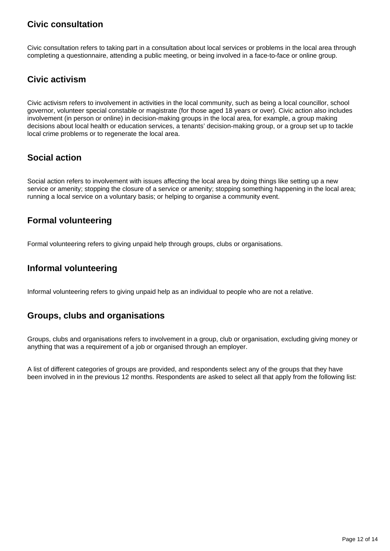## **Civic consultation**

Civic consultation refers to taking part in a consultation about local services or problems in the local area through completing a questionnaire, attending a public meeting, or being involved in a face-to-face or online group.

### **Civic activism**

Civic activism refers to involvement in activities in the local community, such as being a local councillor, school governor, volunteer special constable or magistrate (for those aged 18 years or over). Civic action also includes involvement (in person or online) in decision-making groups in the local area, for example, a group making decisions about local health or education services, a tenants' decision-making group, or a group set up to tackle local crime problems or to regenerate the local area.

## **Social action**

Social action refers to involvement with issues affecting the local area by doing things like setting up a new service or amenity; stopping the closure of a service or amenity; stopping something happening in the local area; running a local service on a voluntary basis; or helping to organise a community event.

### **Formal volunteering**

Formal volunteering refers to giving unpaid help through groups, clubs or organisations.

#### **Informal volunteering**

Informal volunteering refers to giving unpaid help as an individual to people who are not a relative.

### **Groups, clubs and organisations**

Groups, clubs and organisations refers to involvement in a group, club or organisation, excluding giving money or anything that was a requirement of a job or organised through an employer.

A list of different categories of groups are provided, and respondents select any of the groups that they have been involved in in the previous 12 months. Respondents are asked to select all that apply from the following list: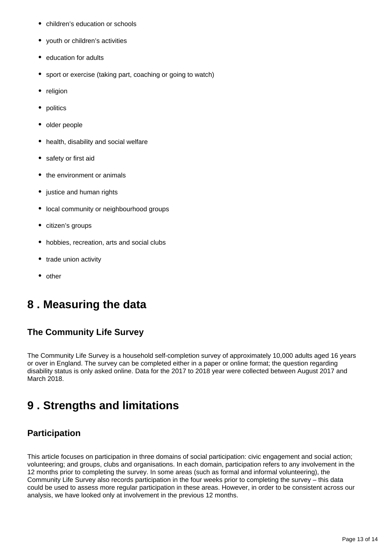- $\bullet$ children's education or schools
- youth or children's activities
- education for adults
- sport or exercise (taking part, coaching or going to watch)
- religion  $\bullet$
- politics
- older people
- health, disability and social welfare
- safety or first aid
- the environment or animals
- justice and human rights
- local community or neighbourhood groups
- citizen's groups
- hobbies, recreation, arts and social clubs
- trade union activity
- other

## <span id="page-12-0"></span>**8 . Measuring the data**

#### **The Community Life Survey**

The Community Life Survey is a household self-completion survey of approximately 10,000 adults aged 16 years or over in England. The survey can be completed either in a paper or online format; the question regarding disability status is only asked online. Data for the 2017 to 2018 year were collected between August 2017 and March 2018.

## <span id="page-12-1"></span>**9 . Strengths and limitations**

#### **Participation**

This article focuses on participation in three domains of social participation: civic engagement and social action; volunteering; and groups, clubs and organisations. In each domain, participation refers to any involvement in the 12 months prior to completing the survey. In some areas (such as formal and informal volunteering), the Community Life Survey also records participation in the four weeks prior to completing the survey – this data could be used to assess more regular participation in these areas. However, in order to be consistent across our analysis, we have looked only at involvement in the previous 12 months.